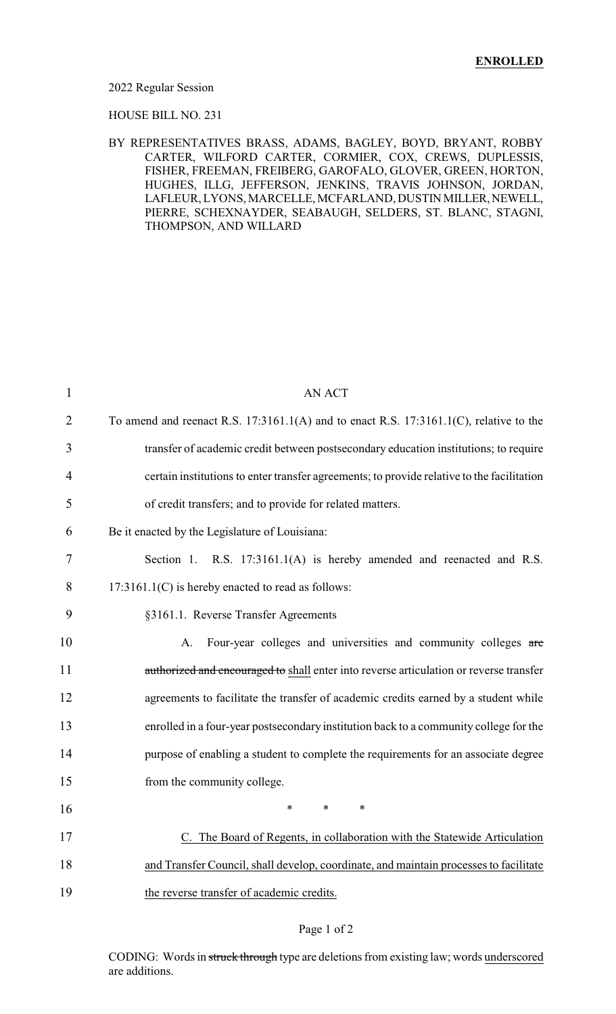#### 2022 Regular Session

#### HOUSE BILL NO. 231

### BY REPRESENTATIVES BRASS, ADAMS, BAGLEY, BOYD, BRYANT, ROBBY CARTER, WILFORD CARTER, CORMIER, COX, CREWS, DUPLESSIS, FISHER, FREEMAN, FREIBERG, GAROFALO, GLOVER, GREEN, HORTON, HUGHES, ILLG, JEFFERSON, JENKINS, TRAVIS JOHNSON, JORDAN, LAFLEUR, LYONS, MARCELLE, MCFARLAND, DUSTIN MILLER, NEWELL, PIERRE, SCHEXNAYDER, SEABAUGH, SELDERS, ST. BLANC, STAGNI, THOMPSON, AND WILLARD

| 1  | <b>AN ACT</b>                                                                              |
|----|--------------------------------------------------------------------------------------------|
| 2  | To amend and reenact R.S. 17:3161.1(A) and to enact R.S. 17:3161.1(C), relative to the     |
| 3  | transfer of academic credit between postsecondary education institutions; to require       |
| 4  | certain institutions to enter transfer agreements; to provide relative to the facilitation |
| 5  | of credit transfers; and to provide for related matters.                                   |
| 6  | Be it enacted by the Legislature of Louisiana:                                             |
| 7  | Section 1. R.S. 17:3161.1(A) is hereby amended and reenacted and R.S.                      |
| 8  | 17:3161.1(C) is hereby enacted to read as follows:                                         |
| 9  | §3161.1. Reverse Transfer Agreements                                                       |
| 10 | Four-year colleges and universities and community colleges are<br>A.                       |
| 11 | authorized and encouraged to shall enter into reverse articulation or reverse transfer     |
| 12 | agreements to facilitate the transfer of academic credits earned by a student while        |
| 13 | enrolled in a four-year postsecondary institution back to a community college for the      |
| 14 | purpose of enabling a student to complete the requirements for an associate degree         |
| 15 | from the community college.                                                                |
| 16 | $\ast$<br>$\ast$<br>$\ast$                                                                 |
| 17 | C. The Board of Regents, in collaboration with the Statewide Articulation                  |
| 18 | and Transfer Council, shall develop, coordinate, and maintain processes to facilitate      |
| 19 | the reverse transfer of academic credits.                                                  |

#### Page 1 of 2

CODING: Words in struck through type are deletions from existing law; words underscored are additions.